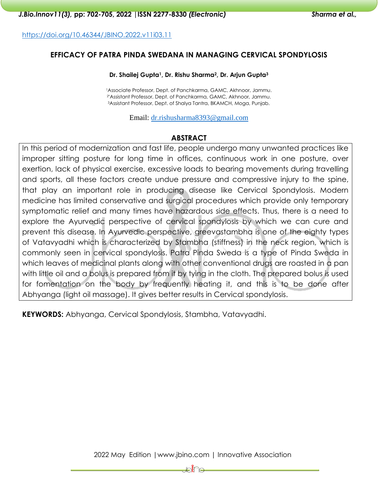<https://doi.org/10.46344/JBINO.2022.v11i03.11>

## **EFFICACY OF PATRA PINDA SWEDANA IN MANAGING CERVICAL SPONDYLOSIS**

#### **Dr. Shailej Gupta1, Dr. Rishu Sharma2, Dr. Arjun Gupta<sup>3</sup>**

1Associate Professor, Dept. of Panchkarma, GAMC, Akhnoor, Jammu. 2\*Assistant Professor, Dept. of Panchkarma, GAMC, Akhnoor, Jammu. <sup>3</sup>Assistant Professor, Dept. of Shalya Tantra, BKAMCH, Moga, Punjab.

Email: [dr.rishusharma8393@gmail.com](mailto:dr.rishusharma8393@gmail.com)

## **ABSTRACT**

In this period of modernization and fast life, people undergo many unwanted practices like improper sitting posture for long time in offices, continuous work in one posture, over exertion, lack of physical exercise, excessive loads to bearing movements during travelling and sports, all these factors create undue pressure and compressive injury to the spine, that play an important role in producing disease like Cervical Spondylosis. Modern medicine has limited conservative and surgical procedures which provide only temporary symptomatic relief and many times have hazardous side effects. Thus, there is a need to explore the Ayurvedic perspective of cervical spondylosis by which we can cure and prevent this disease. In Ayurvedic perspective, greevastambha is one of the eighty types of Vatavyadhi which is characterized by Stambha (stiffness) in the neck region, which is commonly seen in cervical spondylosis. Patra Pinda Sweda is a type of Pinda Sweda in which leaves of medicinal plants along with other conventional drugs are roasted in a pan with little oil and a bolus is prepared from it by tying in the cloth. The prepared bolus is used for fomentation on the body by frequently heating it, and this is to be done after Abhyanga (light oil massage). It gives better results in Cervical spondylosis.

**KEYWORDS:** Abhyanga, Cervical Spondylosis, Stambha, Vatavyadhi.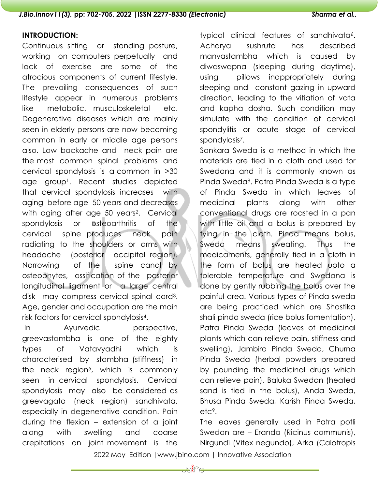#### *J.Bio.Innov11(3),* **pp: 702-705, 2022 |ISSN 2277-8330** *(Electronic) Sharma et al.,*

## **INTRODUCTION:**

Continuous sitting or standing posture, working on computers perpetually and lack of exercise are some of the atrocious components of current lifestyle. The prevailing consequences of such lifestyle appear in numerous problems like metabolic, musculoskeletal etc. Degenerative diseases which are mainly seen in elderly persons are now becoming common in early or middle age persons also. Low backache and neck pain are the most common spinal problems and cervical spondylosis is a common in >30 age group1. Recent studies depicted that cervical spondylosis increases with aging before age 50 years and decreases with aging after age 50 years<sup>2</sup>. Cervical spondylosis or osteoarthritis of the cervical spine produces neck pain radiating to the shoulders or arms with headache (posterior occipital region). Narrowing of the spine canal by osteophytes, ossification of the posterior longitudinal ligament or a large central disk may compress cervical spinal cord3. Age, gender and occupation are the main risk factors for cervical spondylosis4.

In Ayurvedic perspective, greevastambha is one of the eighty types of Vatavyadhi which is characterised by stambha (stiffness) in the neck region<sup>5</sup>, which is commonly seen in cervical spondylosis. Cervical spondylosis may also be considered as greevagata (neck region) sandhivata, especially in degenerative condition. Pain during the flexion – extension of a joint along with swelling and coarse crepitations on joint movement is the

typical clinical features of sandhivata<sup>6</sup>. Acharya sushruta has described manyastambha which is caused by diwaswapna (sleeping during daytime), using pillows inappropriately during sleeping and constant gazing in upward direction, leading to the vitiation of vata and kapha dosha. Such condition may simulate with the condition of cervical spondylitis or acute stage of cervical spondylosis7.

Sankara Sweda is a method in which the materials are tied in a cloth and used for Swedana and it is commonly known as Pinda Sweda8. Patra Pinda Sweda is a type of Pinda Sweda in which leaves of medicinal plants along with other conventional drugs are roasted in a pan with little oil and a bolus is prepared by tying in the cloth. Pinda means bolus, Sweda means sweating. Thus the medicaments, generally tied in a cloth in the form of bolus are heated upto a tolerable temperature and Swedana is done by gently rubbing the bolus over the painful area. Various types of Pinda sweda are being practiced which are Shastika shali pinda sweda (rice bolus fomentation), Patra Pinda Sweda (leaves of medicinal plants which can relieve pain, stiffness and swelling), Jambira Pinda Sweda, Churna Pinda Sweda (herbal powders prepared by pounding the medicinal drugs which can relieve pain), Baluka Swedan (heated sand is tied in the bolus), Anda Sweda, Bhusa Pinda Sweda, Karish Pinda Sweda, etc9.

The leaves generally used in Patra potli Swedan are – Eranda (Ricinus communis), Nirgundi (Vitex negundo), Arka (Calotropis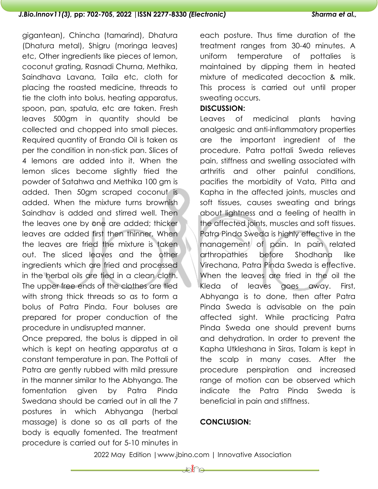## *J.Bio.Innov11(3),* **pp: 702-705, 2022 |ISSN 2277-8330** *(Electronic) Sharma et al.,*

gigantean), Chincha (tamarind), Dhatura (Dhatura metal), Shigru (moringa leaves) etc, Other ingredients like pieces of lemon, coconut grating, Rasnadi Churna, Methika, Saindhava Lavana, Taila etc, cloth for placing the roasted medicine, threads to tie the cloth into bolus, heating apparatus, spoon, pan, spatula, etc are taken. Fresh leaves 500gm in quantity should be collected and chopped into small pieces. Required quantity of Eranda Oil is taken as per the condition in non-stick pan. Slices of 4 lemons are added into it. When the lemon slices become slightly fried the powder of Satahwa and Methika 100 gm is added. Then 50gm scraped coconut is added. When the mixture turns brownish Saindhav is added and stirred well. Then the leaves one by one are added; thicker leaves are added first then thinner. When the leaves are fried the mixture is taken out. The sliced leaves and the other ingredients which are fried and processed in the herbal oils are tied in a clean cloth. The upper free ends of the clothes are tied with strong thick threads so as to form a bolus of Patra Pinda. Four boluses are prepared for proper conduction of the procedure in undisrupted manner.

Once prepared, the bolus is dipped in oil which is kept on heating apparatus at a constant temperature in pan. The Pottali of Patra are gently rubbed with mild pressure in the manner similar to the Abhyanga. The fomentation given by Patra Pinda Swedana should be carried out in all the 7 postures in which Abhyanga (herbal massage) is done so as all parts of the body is equally fomented. The treatment procedure is carried out for 5-10 minutes in

each posture. Thus time duration of the treatment ranges from 30-40 minutes. A uniform temperature of pottalies is maintained by dipping them in heated mixture of medicated decoction & milk. This process is carried out until proper sweating occurs.

#### **DISCUSSION:**

Leaves of medicinal plants having analgesic and anti-inflammatory properties are the important ingredient of the procedure. Patra pottali Sweda relieves pain, stiffness and swelling associated with arthritis and other painful conditions, pacifies the morbidity of Vata, Pitta and Kapha in the affected joints, muscles and soft tissues, causes sweating and brings about lightness and a feeling of health in the affected joints, muscles and soft tissues. Patra Pinda Sweda is highly effective in the management of pain. In pain related arthropathies before Shodhana like Virechana, Patra Pinda Sweda is effective. When the leaves are fried in the oil the Kleda of leaves goes away. First, Abhyanga is to done, then after Patra Pinda Sweda is advisable on the pain affected sight. While practicing Patra Pinda Sweda one should prevent burns and dehydration. In order to prevent the Kapha Utkleshana in Siras, Talam is kept in the scalp in many cases. After the procedure perspiration and increased range of motion can be observed which indicate the Patra Pinda Sweda is beneficial in pain and stiffness.

### **CONCLUSION:**